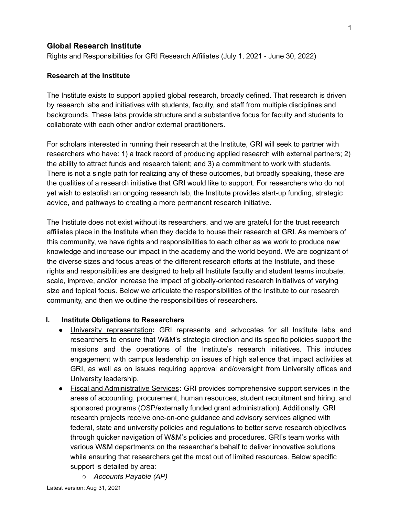## **Global Research Institute**

Rights and Responsibilities for GRI Research Affiliates (July 1, 2021 - June 30, 2022)

### **Research at the Institute**

The Institute exists to support applied global research, broadly defined. That research is driven by research labs and initiatives with students, faculty, and staff from multiple disciplines and backgrounds. These labs provide structure and a substantive focus for faculty and students to collaborate with each other and/or external practitioners.

For scholars interested in running their research at the Institute, GRI will seek to partner with researchers who have: 1) a track record of producing applied research with external partners; 2) the ability to attract funds and research talent; and 3) a commitment to work with students. There is not a single path for realizing any of these outcomes, but broadly speaking, these are the qualities of a research initiative that GRI would like to support. For researchers who do not yet wish to establish an ongoing research lab, the Institute provides start-up funding, strategic advice, and pathways to creating a more permanent research initiative.

The Institute does not exist without its researchers, and we are grateful for the trust research affiliates place in the Institute when they decide to house their research at GRI. As members of this community, we have rights and responsibilities to each other as we work to produce new knowledge and increase our impact in the academy and the world beyond. We are cognizant of the diverse sizes and focus areas of the different research efforts at the Institute, and these rights and responsibilities are designed to help all Institute faculty and student teams incubate, scale, improve, and/or increase the impact of globally-oriented research initiatives of varying size and topical focus. Below we articulate the responsibilities of the Institute to our research community, and then we outline the responsibilities of researchers.

#### **I. Institute Obligations to Researchers**

- University representation**:** GRI represents and advocates for all Institute labs and researchers to ensure that W&M's strategic direction and its specific policies support the missions and the operations of the Institute's research initiatives. This includes engagement with campus leadership on issues of high salience that impact activities at GRI, as well as on issues requiring approval and/oversight from University offices and University leadership.
- Fiscal and Administrative Services**:** GRI provides comprehensive support services in the areas of accounting, procurement, human resources, student recruitment and hiring, and sponsored programs (OSP/externally funded grant administration). Additionally, GRI research projects receive one-on-one guidance and advisory services aligned with federal, state and university policies and regulations to better serve research objectives through quicker navigation of W&M's policies and procedures. GRI's team works with various W&M departments on the researcher's behalf to deliver innovative solutions while ensuring that researchers get the most out of limited resources. Below specific support is detailed by area:
	- *Accounts Payable (AP)*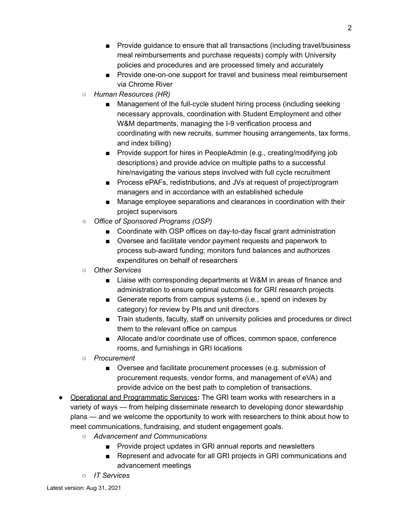- *■* Provide guidance to ensure that all transactions (including travel/business meal reimbursements and purchase requests) comply with University policies and procedures and are processed timely and accurately
- *■* Provide one-on-one support for travel and business meal reimbursement via Chrome River
- *○ Human Resources (HR)*
	- Management of the full-cycle student hiring process (including seeking necessary approvals, coordination with Student Employment and other W&M departments, managing the I-9 verification process and coordinating with new recruits, summer housing arrangements, tax forms, and index billing)
	- *■* Provide support for hires in PeopleAdmin (e.g., creating/modifying job descriptions) and provide advice on multiple paths to a successful hire/navigating the various steps involved with full cycle recruitment
	- *■* Process ePAFs, redistributions, and JVs at request of project/program managers and in accordance with an established schedule
	- Manage employee separations and clearances in coordination with their project supervisors
- *○ Office of Sponsored Programs (OSP)*
	- Coordinate with OSP offices on day-to-day fiscal grant administration
	- Oversee and facilitate vendor payment requests and paperwork to process sub-award funding; monitors fund balances and authorizes expenditures on behalf of researchers
- *Other Services*
	- Liaise with corresponding departments at W&M in areas of finance and administration to ensure optimal outcomes for GRI research projects
	- Generate reports from campus systems (i.e., spend on indexes by category) for review by PIs and unit directors
	- Train students, faculty, staff on university policies and procedures or direct them to the relevant office on campus
	- Allocate and/or coordinate use of offices, common space, conference rooms, and furnishings in GRI locations
- *○ Procurement*
	- *■* Oversee and facilitate procurement processes (e.g. submission of procurement requests, vendor forms, and management of eVA) and provide advice on the best path to completion of transactions.
- Operational and Programmatic Services**:** The GRI team works with researchers in a variety of ways — from helping disseminate research to developing donor stewardship plans — and we welcome the opportunity to work with researchers to think about how to meet communications, fundraising, and student engagement goals.
	- *Advancement and Communications*
		- Provide project updates in GRI annual reports and newsletters
		- Represent and advocate for all GRI projects in GRI communications and advancement meetings
	- *IT Services*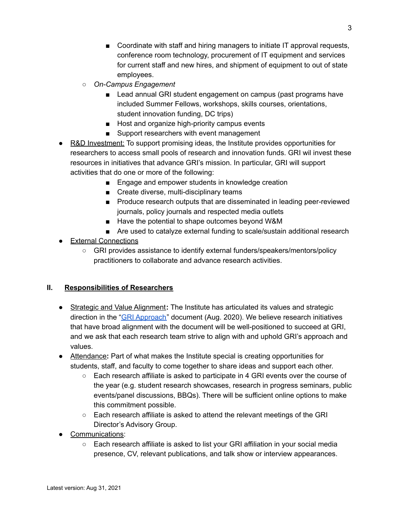- Coordinate with staff and hiring managers to initiate IT approval requests, conference room technology, procurement of IT equipment and services for current staff and new hires, and shipment of equipment to out of state employees.
- *On-Campus Engagement*
	- Lead annual GRI student engagement on campus (past programs have included Summer Fellows, workshops, skills courses, orientations, student innovation funding, DC trips)
	- Host and organize high-priority campus events
	- Support researchers with event management
- **●** R&D Investment: To support promising ideas, the Institute provides opportunities for researchers to access small pools of research and innovation funds. GRI wil invest these resources in initiatives that advance GRI's mission. In particular, GRI will support activities that do one or more of the following:
	- Engage and empower students in knowledge creation
	- Create diverse, multi-disciplinary teams
	- Produce research outputs that are disseminated in leading peer-reviewed journals, policy journals and respected media outlets
	- Have the potential to shape outcomes beyond W&M
	- Are used to catalyze external funding to scale/sustain additional research
- External Connections
	- GRI provides assistance to identify external funders/speakers/mentors/policy practitioners to collaborate and advance research activities.

# **II. Responsibilities of Researchers**

- Strategic and Value Alignment**:** The Institute has articulated its values and strategic direction in the "GRI [Approach"](https://www.wm.edu/offices/global-research/_documents/gri-strategic-approach.pdf) document (Aug. 2020). We believe research initiatives that have broad alignment with the document will be well-positioned to succeed at GRI, and we ask that each research team strive to align with and uphold GRI's approach and values.
- Attendance**:** Part of what makes the Institute special is creating opportunities for students, staff, and faculty to come together to share ideas and support each other.
	- Each research affiliate is asked to participate in 4 GRI events over the course of the year (e.g. student research showcases, research in progress seminars, public events/panel discussions, BBQs). There will be sufficient online options to make this commitment possible.
	- Each research affiliate is asked to attend the relevant meetings of the GRI Director's Advisory Group.
- Communications:
	- Each research affiliate is asked to list your GRI affiliation in your social media presence, CV, relevant publications, and talk show or interview appearances.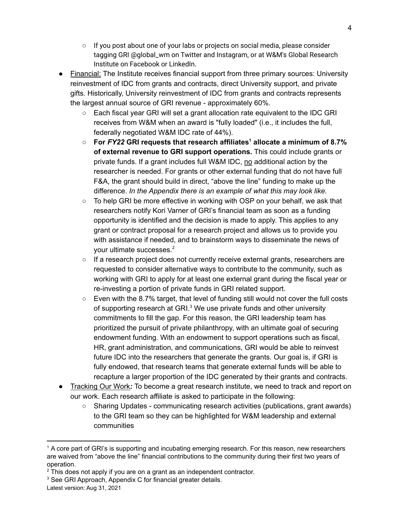- $\circ$  If you post about one of your labs or projects on social media, please consider tagging GRI @global\_wm on Twitter and Instagram, or at W&M's Global Research Institute on Facebook or LinkedIn.
- Financial: The Institute receives financial support from three primary sources: University reinvestment of IDC from grants and contracts, direct University support, and private gifts. Historically, University reinvestment of IDC from grants and contracts represents the largest annual source of GRI revenue - approximately 60%.
	- Each fiscal year GRI will set a grant allocation rate equivalent to the IDC GRI receives from W&M when an award is "fully loaded" (i.e., it includes the full, federally negotiated W&M IDC rate of 44%).
	- **For** *FY22* **GRI requests that research affiliates <sup>1</sup> allocate a minimum of 8.7% of external revenue to GRI support operations.** This could include grants or private funds. If a grant includes full W&M IDC, no additional action by the researcher is needed. For grants or other external funding that do not have full F&A, the grant should build in direct, "above the line" funding to make up the difference. *In the Appendix there is an example of what this may look like.*
	- To help GRI be more effective in working with OSP on your behalf, we ask that researchers notify Kori Varner of GRI's financial team as soon as a funding opportunity is identified and the decision is made to apply. This applies to any grant or contract proposal for a research project and allows us to provide you with assistance if needed, and to brainstorm ways to disseminate the news of your ultimate successes. 2
	- If a research project does not currently receive external grants, researchers are requested to consider alternative ways to contribute to the community, such as working with GRI to apply for at least one external grant during the fiscal year or re-investing a portion of private funds in GRI related support.
	- $\circ$  Even with the 8.7% target, that level of funding still would not cover the full costs of supporting research at GRI. $3$  We use private funds and other university commitments to fill the gap. For this reason, the GRI leadership team has prioritized the pursuit of private philanthropy, with an ultimate goal of securing endowment funding. With an endowment to support operations such as fiscal, HR, grant administration, and communications, GRI would be able to reinvest future IDC into the researchers that generate the grants. Our goal is, if GRI is fully endowed, that research teams that generate external funds will be able to recapture a larger proportion of the IDC generated by their grants and contracts.
- Tracking Our Work*:* To become a great research institute, we need to track and report on our work. Each research affiliate is asked to participate in the following:
	- Sharing Updates communicating research activities (publications, grant awards) to the GRI team so they can be highlighted for W&M leadership and external communities

Latest version: Aug 31, 2021

<sup>&</sup>lt;sup>1</sup> A core part of GRI's is supporting and incubating emerging research. For this reason, new researchers are waived from "above the line" financial contributions to the community during their first two years of operation.

 $2$  This does not apply if you are on a grant as an independent contractor.

<sup>&</sup>lt;sup>3</sup> See GRI Approach, Appendix C for financial greater details.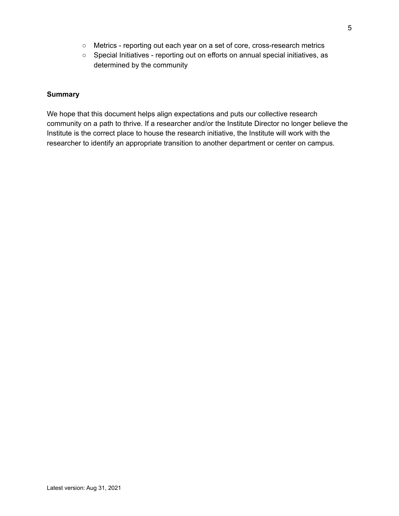- Metrics reporting out each year on a set of core, cross-research metrics
- Special Initiatives reporting out on efforts on annual special initiatives, as determined by the community

### **Summary**

We hope that this document helps align expectations and puts our collective research community on a path to thrive. If a researcher and/or the Institute Director no longer believe the Institute is the correct place to house the research initiative, the Institute will work with the researcher to identify an appropriate transition to another department or center on campus.